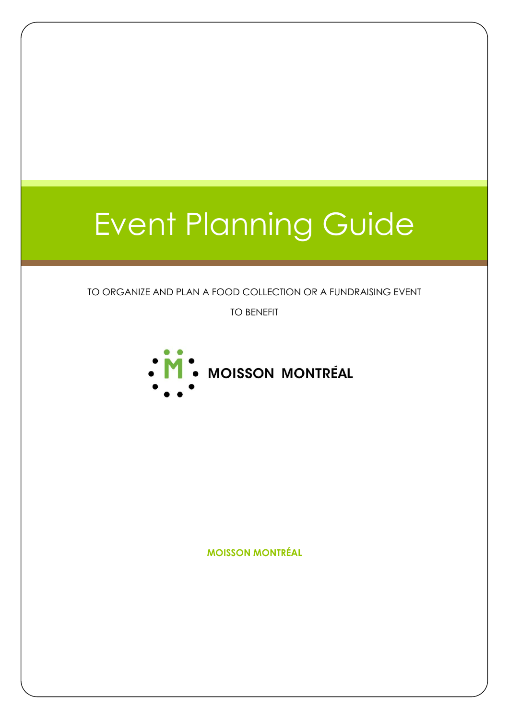# Event Planning Guide

#### TO ORGANIZE AND PLAN A FOOD COLLECTION OR A FUNDRAISING EVENT

TO BENEFIT



**MOISSON MONTRÉAL**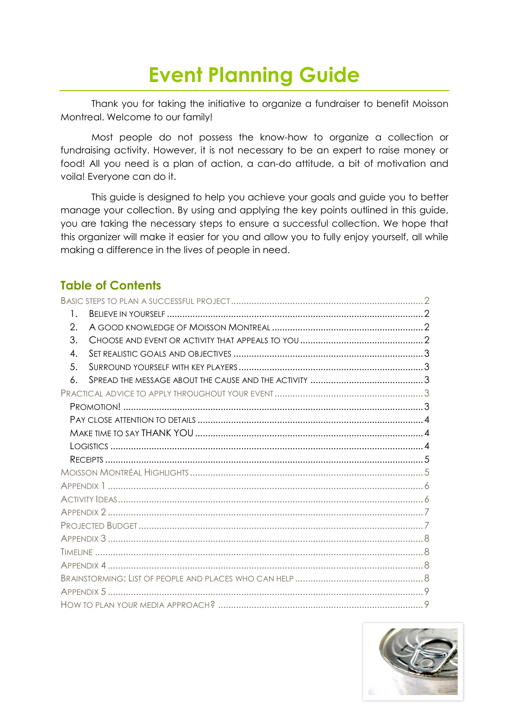# **Event Planning Guide**

Thank you for taking the initiative to organize a fundraiser to benefit Moisson Montreal. Welcome to our family!

Most people do not possess the know-how to organize a collection or fundraising activity. However, it is not necessary to be an expert to raise money or food! All you need is a plan of action, a can-do attitude, a bit of motivation and voila! Everyone can do it.

This guide is designed to help you achieve your goals and guide you to better manage your collection. By using and applying the key points outlined in this guide, you are taking the necessary steps to ensure a successful collection. We hope that this organizer will make it easier for you and allow you to fully enjoy yourself, all while making a difference in the lives of people in need.

### **Table of Contents**

| 1. |  |  |  |
|----|--|--|--|
| 2. |  |  |  |
| 3. |  |  |  |
| 4. |  |  |  |
| 5. |  |  |  |
| 6. |  |  |  |
|    |  |  |  |
|    |  |  |  |
|    |  |  |  |
|    |  |  |  |
|    |  |  |  |
|    |  |  |  |
|    |  |  |  |
|    |  |  |  |
|    |  |  |  |
|    |  |  |  |
|    |  |  |  |
|    |  |  |  |
|    |  |  |  |
|    |  |  |  |
|    |  |  |  |
|    |  |  |  |
|    |  |  |  |

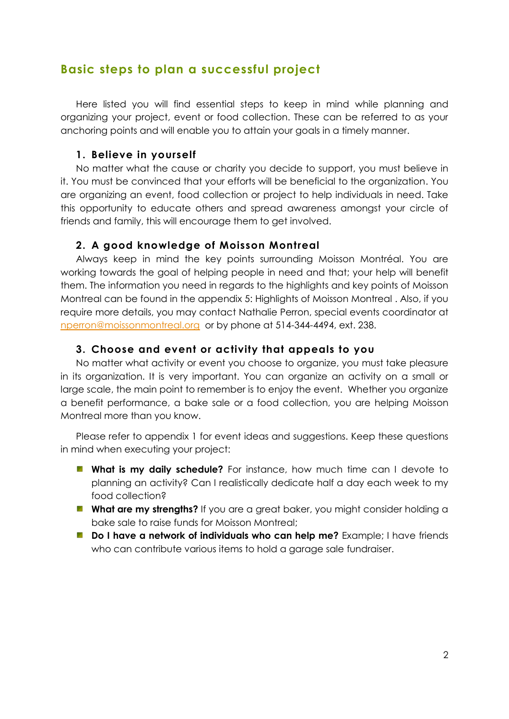### <span id="page-2-0"></span>**Basic steps to plan a successful project**

Here listed you will find essential steps to keep in mind while planning and organizing your project, event or food collection. These can be referred to as your anchoring points and will enable you to attain your goals in a timely manner.

#### **1. Believe in yourself**

<span id="page-2-1"></span>No matter what the cause or charity you decide to support, you must believe in it. You must be convinced that your efforts will be beneficial to the organization. You are organizing an event, food collection or project to help individuals in need. Take this opportunity to educate others and spread awareness amongst your circle of friends and family, this will encourage them to get involved.

#### <span id="page-2-2"></span>**2. A good knowledge of Moisson Montreal**

Always keep in mind the key points surrounding Moisson Montréal. You are working towards the goal of helping people in need and that; your help will benefit them. The information you need in regards to the highlights and key points of Moisson Montreal can be found in the appendix 5: Highlights of Moisson Montreal . Also, if you require more details, you may contact Nathalie Perron, special events coordinator at [nperron@moissonmontreal.org](mailto:nperron@moissonmontreal.org) or by phone at 514-344-4494, ext. 238.

#### **3. Choose and event or activity that appeals to you**

<span id="page-2-3"></span>No matter what activity or event you choose to organize, you must take pleasure in its organization. It is very important. You can organize an activity on a small or large scale, the main point to remember is to enjoy the event. Whether you organize a benefit performance, a bake sale or a food collection, you are helping Moisson Montreal more than you know.

Please refer to appendix 1 for event ideas and suggestions. Keep these questions in mind when executing your project:

- **What is my daily schedule?** For instance, how much time can I devote to planning an activity? Can I realistically dedicate half a day each week to my food collection?
- **What are my strengths?** If you are a great baker, you might consider holding a bake sale to raise funds for Moisson Montreal;
- **Do I have a network of individuals who can help me?** Example; I have friends who can contribute various items to hold a garage sale fundraiser.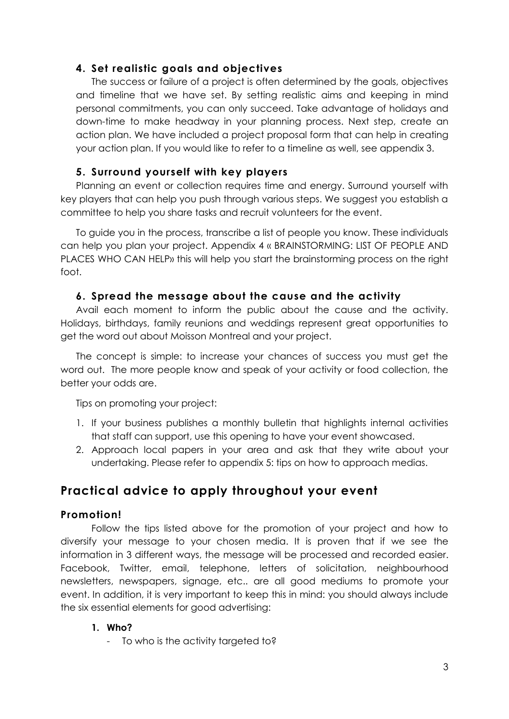#### <span id="page-3-0"></span>**4. Set realistic goals and objectives**

The success or failure of a project is often determined by the goals, objectives and timeline that we have set. By setting realistic aims and keeping in mind personal commitments, you can only succeed. Take advantage of holidays and down-time to make headway in your planning process. Next step, create an action plan. We have included a project proposal form that can help in creating your action plan. If you would like to refer to a timeline as well, see appendix 3.

#### <span id="page-3-1"></span>**5. Surround yourself with key players**

Planning an event or collection requires time and energy. Surround yourself with key players that can help you push through various steps. We suggest you establish a committee to help you share tasks and recruit volunteers for the event.

To guide you in the process, transcribe a list of people you know. These individuals can help you plan your project. Appendix 4 « BRAINSTORMING: LIST OF PEOPLE AND PLACES WHO CAN HELP» this will help you start the brainstorming process on the right foot.

#### <span id="page-3-2"></span>**6. Spread the message about the cause and the activity**

Avail each moment to inform the public about the cause and the activity. Holidays, birthdays, family reunions and weddings represent great opportunities to get the word out about Moisson Montreal and your project.

The concept is simple: to increase your chances of success you must get the word out. The more people know and speak of your activity or food collection, the better your odds are.

Tips on promoting your project:

- 1. If your business publishes a monthly bulletin that highlights internal activities that staff can support, use this opening to have your event showcased.
- 2. Approach local papers in your area and ask that they write about your undertaking. Please refer to appendix 5: tips on how to approach medias.

# <span id="page-3-3"></span>**Practical advice to apply throughout your event**

#### <span id="page-3-4"></span>**Promotion!**

Follow the tips listed above for the promotion of your project and how to diversify your message to your chosen media. It is proven that if we see the information in 3 different ways, the message will be processed and recorded easier. Facebook, Twitter, email, telephone, letters of solicitation, neighbourhood newsletters, newspapers, signage, etc.. are all good mediums to promote your event. In addition, it is very important to keep this in mind: you should always include the six essential elements for good advertising:

#### **1. Who?**

- To who is the activity targeted to?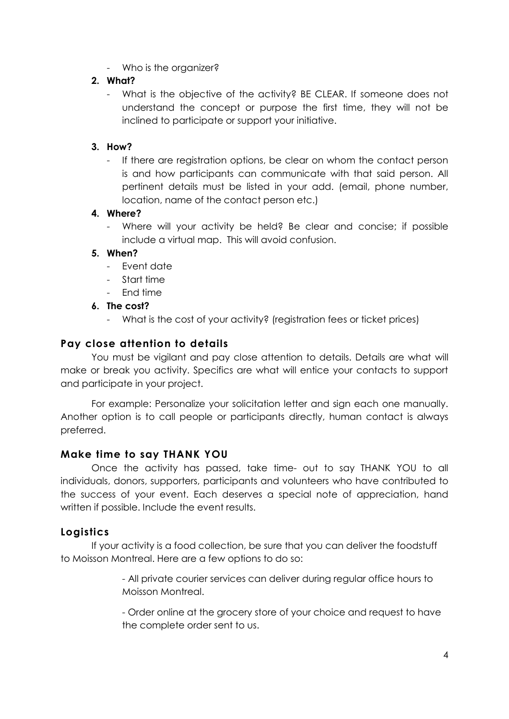- Who is the organizer?

#### **2. What?**

What is the objective of the activity? BE CLEAR. If someone does not understand the concept or purpose the first time, they will not be inclined to participate or support your initiative.

#### **3. How?**

- If there are registration options, be clear on whom the contact person is and how participants can communicate with that said person. All pertinent details must be listed in your add. (email, phone number, location, name of the contact person etc.)

#### **4. Where?**

- Where will your activity be held? Be clear and concise; if possible include a virtual map. This will avoid confusion.

#### **5. When?**

- Event date
- Start time
- End time

#### **6. The cost?**

- What is the cost of your activity? (registration fees or ticket prices)

#### <span id="page-4-0"></span>**Pay close attention to details**

You must be vigilant and pay close attention to details. Details are what will make or break you activity. Specifics are what will entice your contacts to support and participate in your project.

For example: Personalize your solicitation letter and sign each one manually. Another option is to call people or participants directly, human contact is always preferred.

#### <span id="page-4-1"></span>**Make time to say THANK YOU**

Once the activity has passed, take time- out to say THANK YOU to all individuals, donors, supporters, participants and volunteers who have contributed to the success of your event. Each deserves a special note of appreciation, hand written if possible. Include the event results.

#### <span id="page-4-2"></span>**Logistics**

If your activity is a food collection, be sure that you can deliver the foodstuff to Moisson Montreal. Here are a few options to do so:

> - All private courier services can deliver during regular office hours to Moisson Montreal.

- Order online at the grocery store of your choice and request to have the complete order sent to us.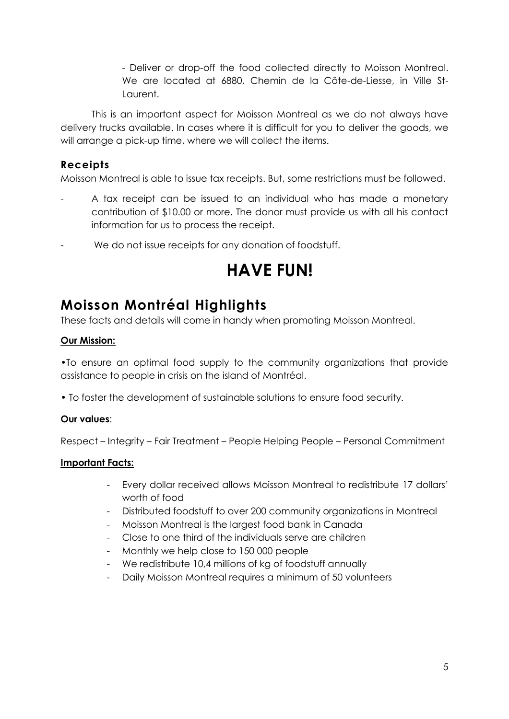- Deliver or drop-off the food collected directly to Moisson Montreal. We are located at 6880, Chemin de la Côte-de-Liesse, in Ville St-Laurent.

This is an important aspect for Moisson Montreal as we do not always have delivery trucks available. In cases where it is difficult for you to deliver the goods, we will arrange a pick-up time, where we will collect the items.

#### <span id="page-5-0"></span>**Receipts**

Moisson Montreal is able to issue tax receipts. But, some restrictions must be followed.

- A tax receipt can be issued to an individual who has made a monetary contribution of \$10.00 or more. The donor must provide us with all his contact information for us to process the receipt.
- We do not issue receipts for any donation of foodstuff.

# **HAVE FUN!**

# <span id="page-5-1"></span>**Moisson Montréal Highlights**

These facts and details will come in handy when promoting Moisson Montreal.

#### **Our Mission:**

•To ensure an optimal food supply to the community organizations that provide assistance to people in crisis on the island of Montréal.

• To foster the development of sustainable solutions to ensure food security.

#### **Our values**:

Respect – Integrity – Fair Treatment – People Helping People – Personal Commitment

#### **Important Facts:**

- Every dollar received allows Moisson Montreal to redistribute 17 dollars' worth of food
- Distributed foodstuff to over 200 community organizations in Montreal
- Moisson Montreal is the largest food bank in Canada
- Close to one third of the individuals serve are children
- Monthly we help close to 150 000 people
- We redistribute 10,4 millions of kg of foodstuff annually
- Daily Moisson Montreal requires a minimum of 50 volunteers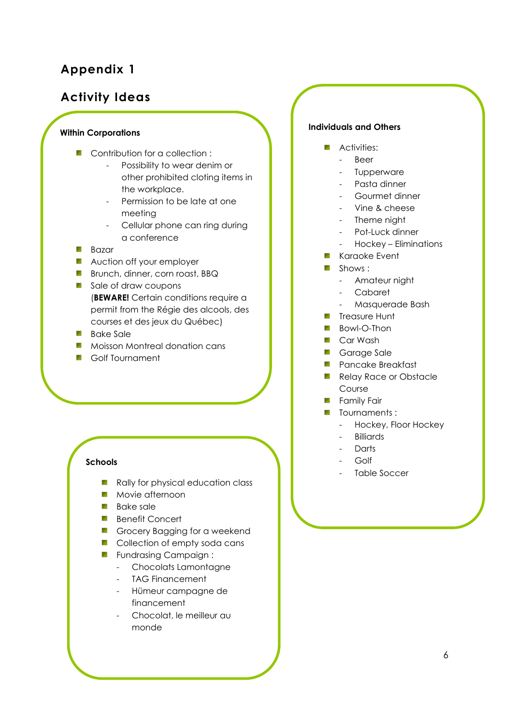# <span id="page-6-0"></span>**Appendix 1**

## <span id="page-6-1"></span>**Activity Ideas**

#### **Within Corporations**

- **Contribution for a collection:** 
	- Possibility to wear denim or other prohibited cloting items in the workplace.
	- Permission to be late at one meeting
	- Cellular phone can ring during a conference
- **Bazar**
- **Auction off your employer**
- **Brunch, dinner, corn roast, BBQ**
- Sale of draw coupons (**BEWARE!** Certain conditions require a permit from the Régie des alcools, des courses et des jeux du Québec)
- **Bake Sale**
- **Moisson Montreal donation cans**
- **B** Golf Tournament

#### **Schools**

- **Contract Contract** Rally for physical education class
- **Movie afternoon**
- **Bake sale**
- **Benefit Concert**
- Grocery Bagging for a weekend
- **Collection of empty soda cans**
- **Fundrasing Campaign:** 
	- Chocolats Lamontagne
	- TAG Financement
	- Hümeur campagne de financement
	- Chocolat, le meilleur au monde

#### **Individuals and Others**

- **Activities:** 
	- Beer
	- **Tupperware**
	- Pasta dinner
	- Gourmet dinner
	- Vine & cheese
	- Theme night
	- Pot-Luck dinner
	- Hockey Eliminations
- **Karaoke Event**
- Shows:
	- Amateur night
	- Cabaret
	- Masquerade Bash
- **Treasure Hunt**
- **Bowl-O-Thon**
- **Car Wash**
- **Garage Sale**
- **Pancake Breakfast**
- **Relay Race or Obstacle** Course
- **Family Fair**
- **T**ournaments:
	- Hockey, Floor Hockey
	- Billiards
	- **Darts**
	- Golf
	- Table Soccer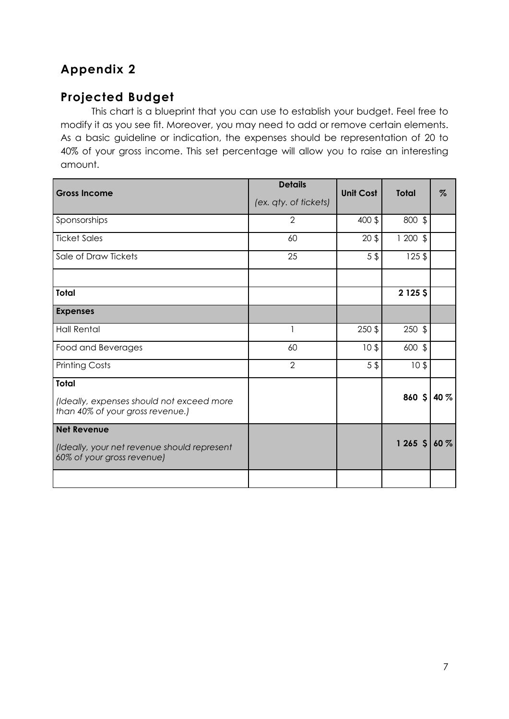# <span id="page-7-0"></span>**Appendix 2**

# <span id="page-7-1"></span>**Projected Budget**

This chart is a blueprint that you can use to establish your budget. Feel free to modify it as you see fit. Moreover, you may need to add or remove certain elements. As a basic guideline or indication, the expenses should be representation of 20 to 40% of your gross income. This set percentage will allow you to raise an interesting amount.

| <b>Gross Income</b>                                                                             | <b>Details</b><br>(ex. qty. of tickets) | <b>Unit Cost</b> | <b>Total</b>    | $\%$ |
|-------------------------------------------------------------------------------------------------|-----------------------------------------|------------------|-----------------|------|
| Sponsorships                                                                                    | 2                                       | 400 \$           | 800 \$          |      |
| <b>Ticket Sales</b>                                                                             | 60                                      | 20 <sup>3</sup>  | $1200$ \$       |      |
| Sale of Draw Tickets                                                                            | 25                                      | $5$ \$           | $125$ \$        |      |
|                                                                                                 |                                         |                  |                 |      |
| <b>Total</b>                                                                                    |                                         |                  | $2125$ \$       |      |
| <b>Expenses</b>                                                                                 |                                         |                  |                 |      |
| <b>Hall Rental</b>                                                                              |                                         | $250$ \$         | $250$ \$        |      |
| Food and Beverages                                                                              | 60                                      | 10 <sup>3</sup>  | 600 \$          |      |
| <b>Printing Costs</b>                                                                           | 2                                       | $5$ \$           | 10 <sup>5</sup> |      |
| <b>Total</b><br>(Ideally, expenses should not exceed more<br>than 40% of your gross revenue.)   |                                         |                  | 860 $$10\%$     |      |
| <b>Net Revenue</b><br>(Ideally, your net revenue should represent<br>60% of your gross revenue) |                                         |                  | $1265$ \$ 60 %  |      |
|                                                                                                 |                                         |                  |                 |      |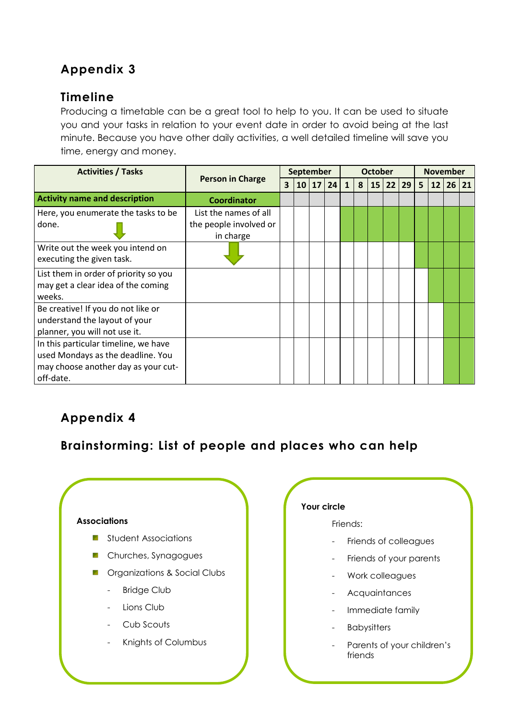# <span id="page-8-0"></span>**Appendix 3**

# <span id="page-8-1"></span>**Timeline**

Producing a timetable can be a great tool to help to you. It can be used to situate you and your tasks in relation to your event date in order to avoid being at the last minute. Because you have other daily activities, a well detailed timeline will save you time, energy and money.

| <b>Activities / Tasks</b>             | <b>Person in Charge</b> | <b>September</b> |  |       |    | <b>October</b> |   |  |          | <b>November</b> |   |    |    |    |
|---------------------------------------|-------------------------|------------------|--|-------|----|----------------|---|--|----------|-----------------|---|----|----|----|
|                                       |                         | $\mathbf{3}$     |  | 10 17 | 24 | $\mathbf{1}$   | 8 |  | 15 22 29 |                 | 5 | 12 | 26 | 21 |
| <b>Activity name and description</b>  | <b>Coordinator</b>      |                  |  |       |    |                |   |  |          |                 |   |    |    |    |
| Here, you enumerate the tasks to be   | List the names of all   |                  |  |       |    |                |   |  |          |                 |   |    |    |    |
| done.                                 | the people involved or  |                  |  |       |    |                |   |  |          |                 |   |    |    |    |
|                                       | in charge               |                  |  |       |    |                |   |  |          |                 |   |    |    |    |
| Write out the week you intend on      |                         |                  |  |       |    |                |   |  |          |                 |   |    |    |    |
| executing the given task.             |                         |                  |  |       |    |                |   |  |          |                 |   |    |    |    |
| List them in order of priority so you |                         |                  |  |       |    |                |   |  |          |                 |   |    |    |    |
| may get a clear idea of the coming    |                         |                  |  |       |    |                |   |  |          |                 |   |    |    |    |
| weeks.                                |                         |                  |  |       |    |                |   |  |          |                 |   |    |    |    |
| Be creative! If you do not like or    |                         |                  |  |       |    |                |   |  |          |                 |   |    |    |    |
| understand the layout of your         |                         |                  |  |       |    |                |   |  |          |                 |   |    |    |    |
| planner, you will not use it.         |                         |                  |  |       |    |                |   |  |          |                 |   |    |    |    |
| In this particular timeline, we have  |                         |                  |  |       |    |                |   |  |          |                 |   |    |    |    |
| used Mondays as the deadline. You     |                         |                  |  |       |    |                |   |  |          |                 |   |    |    |    |
| may choose another day as your cut-   |                         |                  |  |       |    |                |   |  |          |                 |   |    |    |    |
| off-date.                             |                         |                  |  |       |    |                |   |  |          |                 |   |    |    |    |

# <span id="page-8-2"></span>**Appendix 4**

<span id="page-8-3"></span>**Brainstorming: List of people and places who can help**

#### **Associations**

- **Student Associations**
- **Churches, Synagogues**
- **T** Organizations & Social Clubs
	- Bridge Club
	- Lions Club
	- Cub Scouts
	- Knights of Columbus

#### **Your circle**

#### Friends:

- Friends of colleagues
- Friends of your parents
- Work colleagues
- **Acquaintances**
- Immediate family
- **Babysitters**
- Parents of your children's friends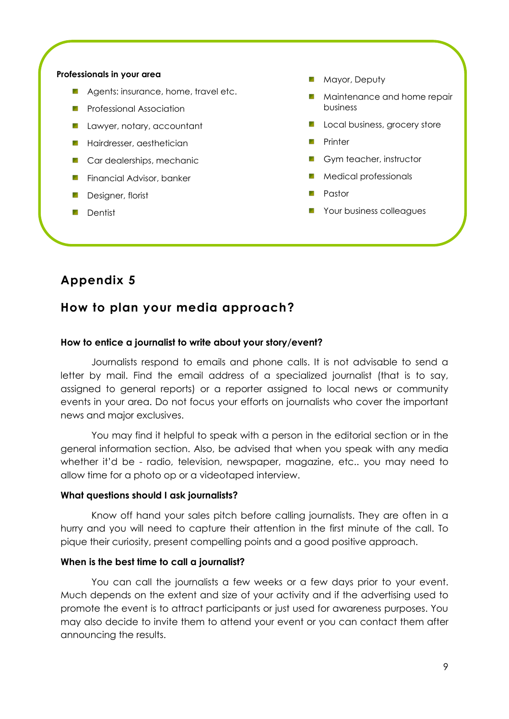#### **Professionals in your area**

- 91 Agents: insurance, home, travel etc.
- **All Control** Professional Association
- **Lawyer, notary, accountant**
- **Hairdresser, aesthetician**
- **Car dealerships, mechanic**
- Financial Advisor, banker 1976
- Designer, florist **Service**
- Dentist y.

**Mayor, Deputy** 

- **Maintenance and home repair** business
- **Local business, grocery store**
- Printer a provincia de la contección de la contección de la contección de la contección de la contección de la contección de la contección de la contección de la contección de la contección de la contección de la contección de la
- **Gym teacher, instructor**
- Medical professionals
- Pastor
- **Your business colleagues**

#### <span id="page-9-1"></span><span id="page-9-0"></span>**Appendix 5**

#### **How to plan your media approach?**

#### **How to entice a journalist to write about your story/event?**

Journalists respond to emails and phone calls. It is not advisable to send a letter by mail. Find the email address of a specialized journalist (that is to say, assigned to general reports) or a reporter assigned to local news or community events in your area. Do not focus your efforts on journalists who cover the important news and major exclusives.

You may find it helpful to speak with a person in the editorial section or in the general information section. Also, be advised that when you speak with any media whether it'd be - radio, television, newspaper, magazine, etc.. you may need to allow time for a photo op or a videotaped interview.

#### **What questions should I ask journalists?**

Know off hand your sales pitch before calling journalists. They are often in a hurry and you will need to capture their attention in the first minute of the call. To pique their curiosity, present compelling points and a good positive approach.

#### **When is the best time to call a journalist?**

You can call the journalists a few weeks or a few days prior to your event. Much depends on the extent and size of your activity and if the advertising used to promote the event is to attract participants or just used for awareness purposes. You may also decide to invite them to attend your event or you can contact them after announcing the results.